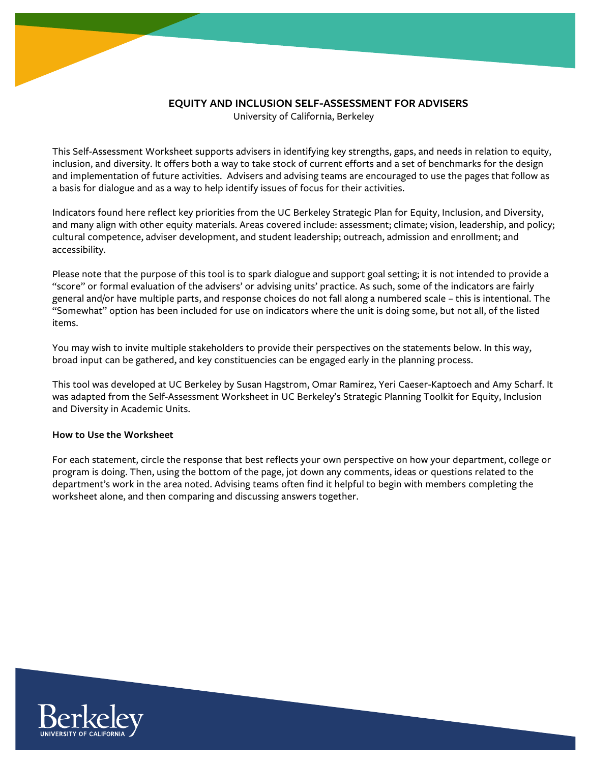

### **EQUITY AND INCLUSION SELF-ASSESSMENT FOR ADVISERS** University of California, Berkeley

This Self-Assessment Worksheet supports advisers in identifying key strengths, gaps, and needs in relation to equity, inclusion, and diversity. It offers both a way to take stock of current efforts and a set of benchmarks for the design and implementation of future activities. Advisers and advising teams are encouraged to use the pages that follow as a basis for dialogue and as a way to help identify issues of focus for their activities.

Indicators found here reflect key priorities from the UC Berkeley Strategic Plan for Equity, Inclusion, and Diversity, and many align with other equity materials. Areas covered include: assessment; climate; vision, leadership, and policy; cultural competence, adviser development, and student leadership; outreach, admission and enrollment; and accessibility.

Please note that the purpose of this tool is to spark dialogue and support goal setting; it is not intended to provide a "score" or formal evaluation of the advisers' or advising units' practice. As such, some of the indicators are fairly general and/or have multiple parts, and response choices do not fall along a numbered scale – this is intentional. The "Somewhat" option has been included for use on indicators where the unit is doing some, but not all, of the listed items.

You may wish to invite multiple stakeholders to provide their perspectives on the statements below. In this way, broad input can be gathered, and key constituencies can be engaged early in the planning process.

This tool was developed at UC Berkeley by Susan Hagstrom, Omar Ramirez, Yeri Caeser-Kaptoech and Amy Scharf. It was adapted from the Self-Assessment Worksheet in UC Berkeley's Strategic Planning Toolkit for Equity, Inclusion and Diversity in Academic Units.

### **How to Use the Worksheet**

For each statement, circle the response that best reflects your own perspective on how your department, college or program is doing. Then, using the bottom of the page, jot down any comments, ideas or questions related to the department's work in the area noted. Advising teams often find it helpful to begin with members completing the worksheet alone, and then comparing and discussing answers together.

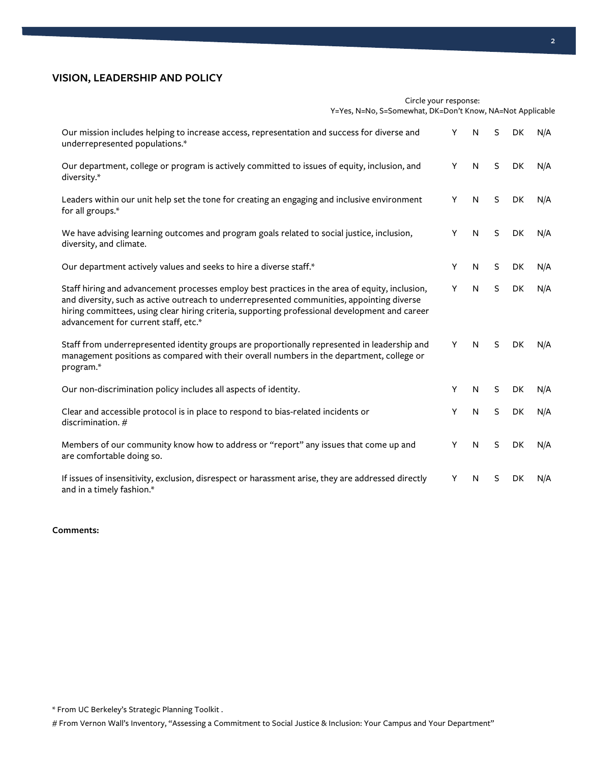### \* From UC Berkeley's Strategic Planning Toolkit .

# From Vernon Wall's Inventory, "Assessing a Commitment to Social Justice & Inclusion: Your Campus and Your Department"

### **VISION, LEADERSHIP AND POLICY**

Y=Yes, N=No, S=Somewhat, DK=Don't Know, NA=Not Applicable Our mission includes helping to increase access, representation and success for diverse and underrepresented populations.\* Y N S DK N/A Our department, college or program is actively committed to issues of equity, inclusion, and diversity.\* Y N S DK N/A Leaders within our unit help set the tone for creating an engaging and inclusive environment for all groups.\* Y N S DK N/A We have advising learning outcomes and program goals related to social justice, inclusion, diversity, and climate. Y N S DK N/A Our department actively values and seeks to hire a diverse staff.\* The Manus Communication of Manus Communication of Manus Communication of Manus Communication of Manus Communication of Manus Communication of Manus Communi Staff hiring and advancement processes employ best practices in the area of equity, inclusion, and diversity, such as active outreach to underrepresented communities, appointing diverse hiring committees, using clear hiring criteria, supporting professional development and career advancement for current staff, etc.\* Y N S DK N/A Staff from underrepresented identity groups are proportionally represented in leadership and management positions as compared with their overall numbers in the department, college or program.\* Y N S DK N/A Our non-discrimination policy includes all aspects of identity. The Manus Communication of Manus Communication of Ma Clear and accessible protocol is in place to respond to bias-related incidents or discrimination. # Y N S DK N/A Members of our community know how to address or "report" any issues that come up and are comfortable doing so. Y N S DK N/A If issues of insensitivity, exclusion, disrespect or harassment arise, they are addressed directly and in a timely fashion.\* Y N S DK N/A

#### **Comments:**

# Circle your response: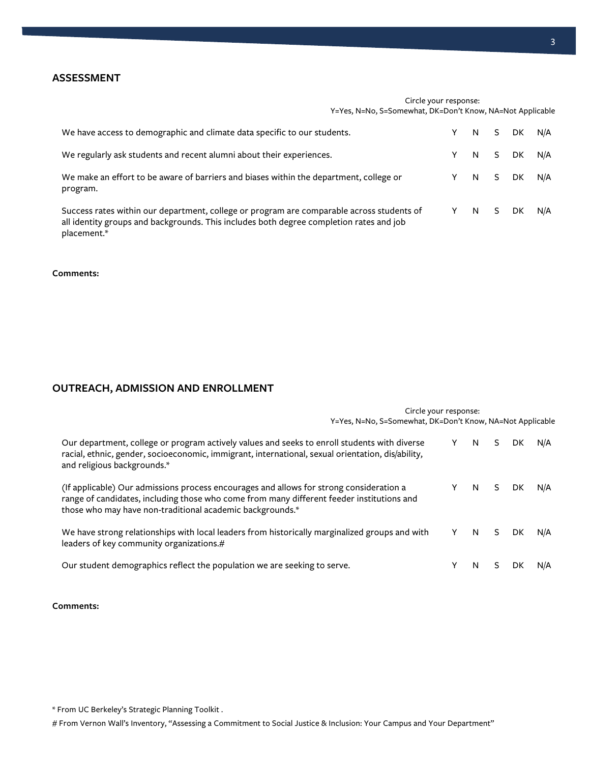### **ASSESSMENT**

|                                                                                                                                                                                                     | Circle your response:<br>Y=Yes, N=No, S=Somewhat, DK=Don't Know, NA=Not Applicable |  |  |              |     |
|-----------------------------------------------------------------------------------------------------------------------------------------------------------------------------------------------------|------------------------------------------------------------------------------------|--|--|--------------|-----|
| We have access to demographic and climate data specific to our students.                                                                                                                            |                                                                                    |  |  | Y N S DK N/A |     |
| We regularly ask students and recent alumni about their experiences.                                                                                                                                |                                                                                    |  |  | Y N S DK N/A |     |
| We make an effort to be aware of barriers and biases within the department, college or<br>program.                                                                                                  |                                                                                    |  |  | Y N S DK     | N/A |
| Success rates within our department, college or program are comparable across students of<br>all identity groups and backgrounds. This includes both degree completion rates and job<br>placement.* |                                                                                    |  |  | Y N S DK     | N/A |

**Comments:**

# **OUTREACH, ADMISSION AND ENROLLMENT**

|                                                                                                                                                                                                                                                   | Circle your response: |     |    |     |     |  |
|---------------------------------------------------------------------------------------------------------------------------------------------------------------------------------------------------------------------------------------------------|-----------------------|-----|----|-----|-----|--|
| Y=Yes, N=No, S=Somewhat, DK=Don't Know, NA=Not Applicable                                                                                                                                                                                         |                       |     |    |     |     |  |
| Our department, college or program actively values and seeks to enroll students with diverse<br>racial, ethnic, gender, socioeconomic, immigrant, international, sexual orientation, dis/ability,<br>and religious backgrounds.*                  | Y.                    | N S |    | DK. | N/A |  |
| (If applicable) Our admissions process encourages and allows for strong consideration a<br>range of candidates, including those who come from many different feeder institutions and<br>those who may have non-traditional academic backgrounds.* |                       | N   | S. | DK. | N/A |  |
| We have strong relationships with local leaders from historically marginalized groups and with<br>leaders of key community organizations.#                                                                                                        |                       | N   | S. | DK. | N/A |  |
| Our student demographics reflect the population we are seeking to serve.                                                                                                                                                                          |                       | N.  |    |     | N/A |  |

**Comments:**

\* From UC Berkeley's Strategic Planning Toolkit .

# From Vernon Wall's Inventory, "Assessing a Commitment to Social Justice & Inclusion: Your Campus and Your Department"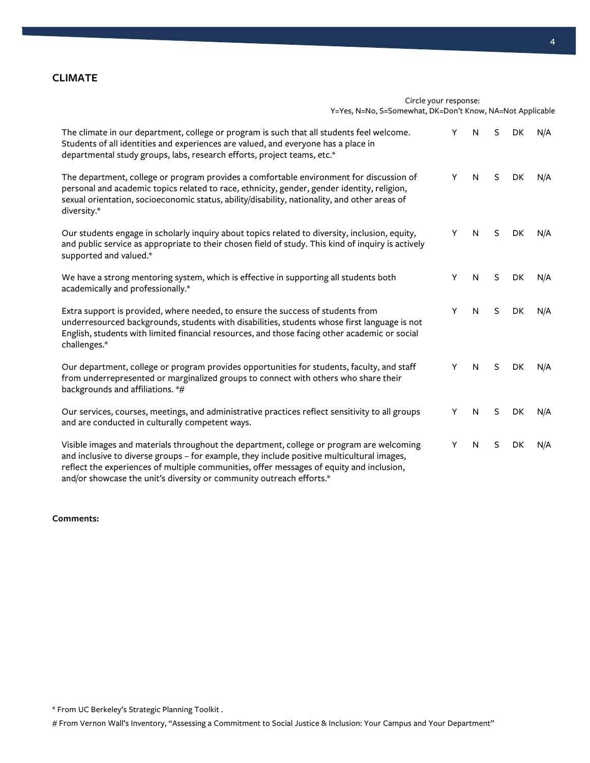### **CLIMATE**

Y=Yes, N=No, S=Somewhat, DK=Don't Know, NA=Not Applicable The climate in our department, college or program is such that all students feel welcome. Students of all identities and experiences are valued, and everyone has a place in departmental study groups, labs, research efforts, project teams, etc.\* Y N S DK N/A The department, college or program provides a comfortable environment for discussion of personal and academic topics related to race, ethnicity, gender, gender identity, religion, sexual orientation, socioeconomic status, ability/disability, nationality, and other areas of diversity.\* Y N S DK N/A Our students engage in scholarly inquiry about topics related to diversity, inclusion, equity, and public service as appropriate to their chosen field of study. This kind of inquiry is actively supported and valued.\* Y N S DK N/A We have a strong mentoring system, which is effective in supporting all students both academically and professionally.\* Y N S DK N/A Extra support is provided, where needed, to ensure the success of students from underresourced backgrounds, students with disabilities, students whose first language is not English, students with limited financial resources, and those facing other academic or social challenges.\* Y N S DK N/A Our department, college or program provides opportunities for students, faculty, and staff from underrepresented or marginalized groups to connect with others who share their backgrounds and affiliations. \*# Y N S DK N/A Our services, courses, meetings, and administrative practices reflect sensitivity to all groups and are conducted in culturally competent ways. N S DK N/A Visible images and materials throughout the department, college or program are welcoming and inclusive to diverse groups – for example, they include positive multicultural images, reflect the experiences of multiple communities, offer messages of equity and inclusion, and/or showcase the unit's diversity or community outreach efforts.\* Y N S DK N/A

#### **Comments:**

# From Vernon Wall's Inventory, "Assessing a Commitment to Social Justice & Inclusion: Your Campus and Your Department"

Circle your response:

<sup>\*</sup> From UC Berkeley's Strategic Planning Toolkit .